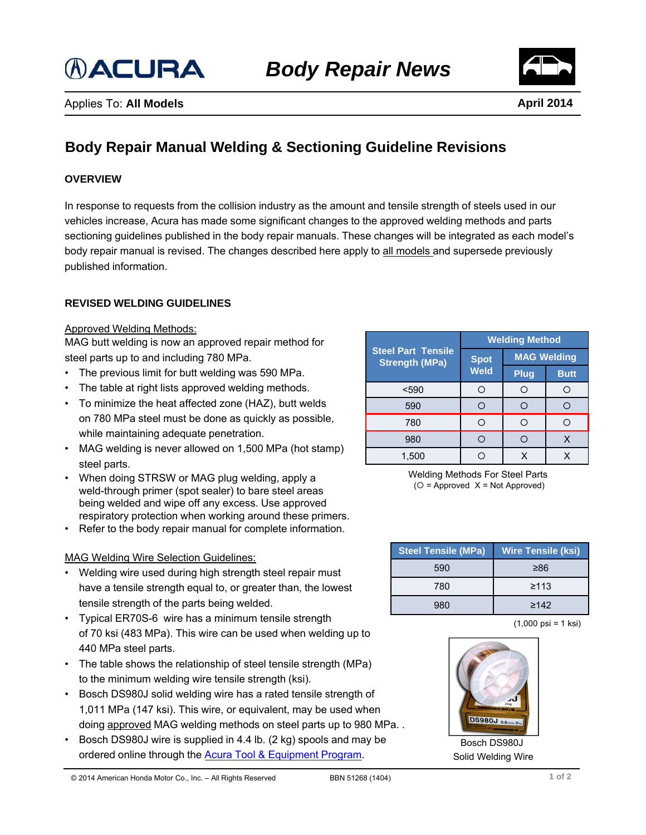



# **Body Repair Manual Welding & Sectioning Guideline Revisions**

#### **OVERVIEW**

In response to requests from the collision industry as the amount and tensile strength of steels used in our vehicles increase, Acura has made some significant changes to the approved welding methods and parts sectioning guidelines published in the body repair manuals. These changes will be integrated as each model's body repair manual is revised. The changes described here apply to all models and supersede previously published information.

#### **REVISED WELDING GUIDELINES**

#### Approved Welding Methods:

MAG butt welding is now an approved repair method for steel parts up to and including 780 MPa.

- The previous limit for butt welding was 590 MPa.
- The table at right lists approved welding methods.
- To minimize the heat affected zone (HAZ), butt welds on 780 MPa steel must be done as quickly as possible, while maintaining adequate penetration.
- MAG welding is never allowed on 1,500 MPa (hot stamp) steel parts.
- When doing STRSW or MAG plug welding, apply a weld-through primer (spot sealer) to bare steel areas being welded and wipe off any excess. Use approved respiratory protection when working around these primers.
- Refer to the body repair manual for complete information.

#### MAG Welding Wire Selection Guidelines:

- Welding wire used during high strength steel repair must have a tensile strength equal to, or greater than, the lowest tensile strength of the parts being welded.
- Typical ER70S-6 wire has a minimum tensile strength of 70 ksi (483 MPa). This wire can be used when welding up to 440 MPa steel parts.
- The table shows the relationship of steel tensile strength (MPa) to the minimum welding wire tensile strength (ksi).
- Bosch DS980J solid welding wire has a rated tensile strength of 1,011 MPa (147 ksi). This wire, or equivalent, may be used when doing approved MAG welding methods on steel parts up to 980 MPa. .
- Bosch DS980J wire is supplied in 4.4 lb. (2 kg) spools and may be ordered online through the [Acura Tool & Equipment Program.](http://acura.snapon.com/HondaAcura/ItemDetail.aspx?itemId=59901366)

| <b>Steel Part Tensile</b><br><b>Strength (MPa)</b> | <b>Welding Method</b>      |                    |             |
|----------------------------------------------------|----------------------------|--------------------|-------------|
|                                                    | <b>Spot</b><br><b>Weld</b> | <b>MAG Welding</b> |             |
|                                                    |                            | <b>Plug</b>        | <b>Butt</b> |
| $590$                                              |                            |                    |             |
| 590                                                |                            |                    |             |
| 780                                                |                            |                    |             |
| 980                                                |                            |                    |             |
| 1.500                                              |                            |                    |             |

Welding Methods For Steel Parts  $(O =$  Approved  $X =$  Not Approved)

| <b>Steel Tensile (MPa)</b> | <b>Wire Tensile (ksi)</b> |
|----------------------------|---------------------------|
| 590                        | ≥86                       |
| 780                        | ≥113                      |
| 980                        | $\geq 142$                |

(1,000 psi = 1 ksi)



Bosch DS980J Solid Welding Wire